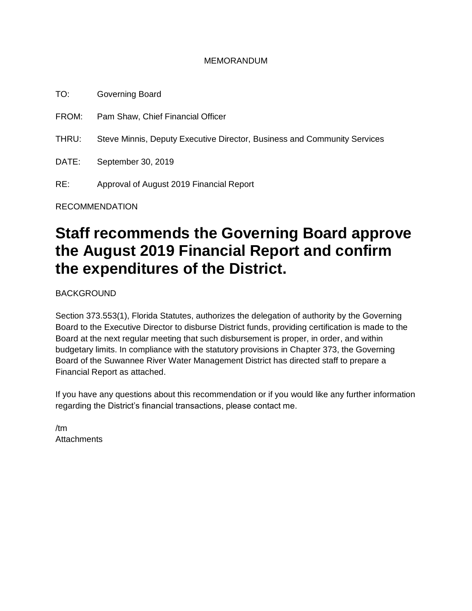#### MEMORANDUM

TO: Governing Board FROM: Pam Shaw, Chief Financial Officer THRU: Steve Minnis, Deputy Executive Director, Business and Community Services DATE: September 30, 2019 RE: Approval of August 2019 Financial Report

RECOMMENDATION

# **Staff recommends the Governing Board approve the August 2019 Financial Report and confirm the expenditures of the District.**

BACKGROUND

Section 373.553(1), Florida Statutes, authorizes the delegation of authority by the Governing Board to the Executive Director to disburse District funds, providing certification is made to the Board at the next regular meeting that such disbursement is proper, in order, and within budgetary limits. In compliance with the statutory provisions in Chapter 373, the Governing Board of the Suwannee River Water Management District has directed staff to prepare a Financial Report as attached.

If you have any questions about this recommendation or if you would like any further information regarding the District's financial transactions, please contact me.

/tm **Attachments**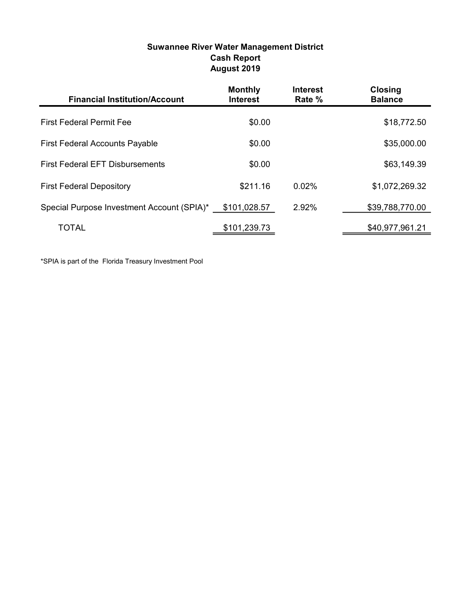| <b>Suwannee River Water Management District</b> |
|-------------------------------------------------|
| <b>Cash Report</b>                              |
| August 2019                                     |

| <b>Financial Institution/Account</b>       | <b>Monthly</b><br><b>Interest</b> | <b>Interest</b><br>Rate % | <b>Closing</b><br><b>Balance</b> |
|--------------------------------------------|-----------------------------------|---------------------------|----------------------------------|
| <b>First Federal Permit Fee</b>            | \$0.00                            |                           | \$18,772.50                      |
| <b>First Federal Accounts Payable</b>      | \$0.00                            |                           | \$35,000.00                      |
| <b>First Federal EFT Disbursements</b>     | \$0.00                            |                           | \$63,149.39                      |
| <b>First Federal Depository</b>            | \$211.16                          | 0.02%                     | \$1,072,269.32                   |
| Special Purpose Investment Account (SPIA)* | \$101,028.57                      | 2.92%                     | \$39,788,770.00                  |
| TOTAL                                      | \$101,239.73                      |                           | \$40,977,961.21                  |

\*SPIA is part of the Florida Treasury Investment Pool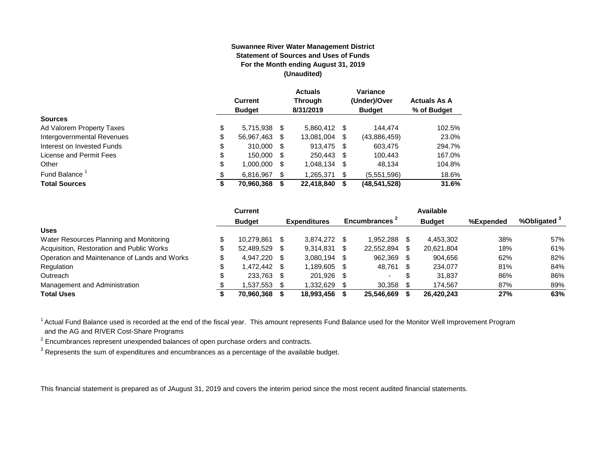#### **Suwannee River Water Management District Statement of Sources and Uses of Funds For the Month ending August 31, 2019 (Unaudited)**

|                                  | <b>Current</b><br><b>Budget</b> |      | <b>Actuals</b><br><b>Through</b><br>8/31/2019 |      | Variance<br>(Under)/Over<br><b>Budget</b> | <b>Actuals As A</b><br>% of Budget |
|----------------------------------|---------------------------------|------|-----------------------------------------------|------|-------------------------------------------|------------------------------------|
| <b>Sources</b>                   |                                 |      |                                               |      |                                           |                                    |
| \$<br>Ad Valorem Property Taxes  | 5,715,938 \$                    |      | 5,860,412 \$                                  |      | 144.474                                   | 102.5%                             |
| \$<br>Intergovernmental Revenues | 56,967,463                      | S    | 13,081,004                                    | \$   | (43,886,459)                              | 23.0%                              |
| \$<br>Interest on Invested Funds | 310.000                         | - \$ | 913,475                                       | - \$ | 603,475                                   | 294.7%                             |
| \$<br>License and Permit Fees    | 150,000                         | - \$ | 250,443                                       | - \$ | 100,443                                   | 167.0%                             |
| \$<br>Other                      | 1,000,000                       | S    | 1,048,134                                     | S    | 48,134                                    | 104.8%                             |
| Fund Balance <sup>1</sup><br>\$  | 6.816.967                       | S    | 1,265,371                                     | \$   | (5,551,596)                               | 18.6%                              |
| <b>Total Sources</b><br>\$       | 70,960,368                      |      | 22,418,840                                    | S    | (48,541,528)                              | 31.6%                              |

|                                              | Current            |      |                     |    |                           |      | Available     |           |                         |
|----------------------------------------------|--------------------|------|---------------------|----|---------------------------|------|---------------|-----------|-------------------------|
|                                              | <b>Budget</b>      |      | <b>Expenditures</b> |    | Encumbrances <sup>2</sup> |      | <b>Budget</b> | %Expended | %Obligated <sup>3</sup> |
| <b>Uses</b>                                  |                    |      |                     |    |                           |      |               |           |                         |
| Water Resources Planning and Monitoring      | 10.279.861         | -SG  | 3,874,272           |    | 1.952.288                 |      | 4,453,302     | 38%       | 57%                     |
| Acquisition, Restoration and Public Works    | 52,489,529         | - \$ | 9,314,831           |    | 22,552,894                |      | 20,621,804    | 18%       | 61%                     |
| Operation and Maintenance of Lands and Works | 4.947.220 \$       |      | 3.080.194           | -S | 962,369                   |      | 904.656       | 62%       | 82%                     |
| Regulation                                   | \$<br>1.472.442 \$ |      | 1.189.605           |    | 48,761                    | - \$ | 234.077       | 81%       | 84%                     |
| Outreach                                     | 233,763 \$         |      | 201.926             | -S |                           | S    | 31.837        | 86%       | 86%                     |
| Management and Administration                | 1,537,553          |      | 1,332,629           |    | 30,358                    |      | 174.567       | 87%       | 89%                     |
| <b>Total Uses</b>                            | 70.960.368         |      | 18,993,456          |    | 25.546.669                |      | 26,420,243    | 27%       | 63%                     |

<sup>1</sup> Actual Fund Balance used is recorded at the end of the fiscal year. This amount represents Fund Balance used for the Monitor Well Improvement Program and the AG and RIVER Cost-Share Programs

 $2$  Encumbrances represent unexpended balances of open purchase orders and contracts.

 $^3$  Represents the sum of expenditures and encumbrances as a percentage of the available budget.

This financial statement is prepared as of JAugust 31, 2019 and covers the interim period since the most recent audited financial statements.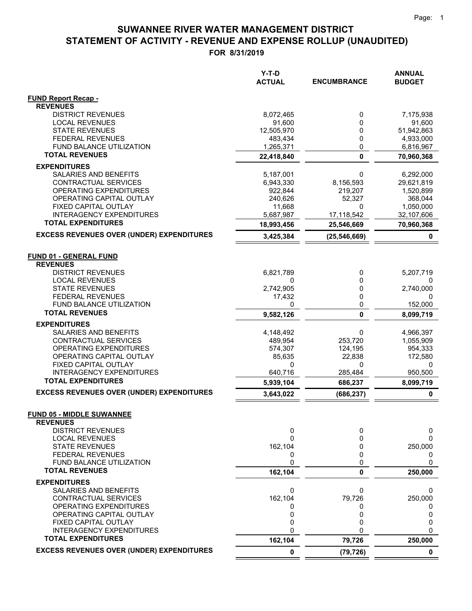|                                                          | Y-T-D<br><b>ACTUAL</b> | <b>ENCUMBRANCE</b> | <b>ANNUAL</b><br><b>BUDGET</b> |
|----------------------------------------------------------|------------------------|--------------------|--------------------------------|
| <b>FUND Report Recap -</b>                               |                        |                    |                                |
| <b>REVENUES</b>                                          |                        |                    |                                |
| <b>DISTRICT REVENUES</b>                                 | 8,072,465              | 0                  | 7,175,938                      |
| <b>LOCAL REVENUES</b><br><b>STATE REVENUES</b>           | 91,600<br>12,505,970   | 0<br>0             | 91,600<br>51,942,863           |
| <b>FEDERAL REVENUES</b>                                  | 483,434                | 0                  | 4,933,000                      |
| FUND BALANCE UTILIZATION                                 | 1,265,371              | 0                  | 6,816,967                      |
| <b>TOTAL REVENUES</b>                                    | 22,418,840             | $\mathbf 0$        | 70,960,368                     |
| <b>EXPENDITURES</b>                                      |                        |                    |                                |
| SALARIES AND BENEFITS                                    | 5,187,001              | 0                  | 6,292,000                      |
| CONTRACTUAL SERVICES                                     | 6,943,330              | 8,156,593          | 29,621,819                     |
| OPERATING EXPENDITURES                                   | 922,844                | 219,207            | 1,520,899                      |
| OPERATING CAPITAL OUTLAY                                 | 240,626                | 52,327             | 368,044                        |
| FIXED CAPITAL OUTLAY                                     | 11,668                 | 0                  | 1,050,000                      |
| <b>INTERAGENCY EXPENDITURES</b>                          | 5,687,987              | 17,118,542         | 32,107,606                     |
| <b>TOTAL EXPENDITURES</b>                                | 18,993,456             | 25,546,669         | 70,960,368                     |
| <b>EXCESS REVENUES OVER (UNDER) EXPENDITURES</b>         | 3,425,384              | (25, 546, 669)     | 0                              |
| <b>FUND 01 - GENERAL FUND</b>                            |                        |                    |                                |
| <b>REVENUES</b>                                          |                        |                    |                                |
| <b>DISTRICT REVENUES</b>                                 | 6,821,789              | 0                  | 5,207,719                      |
| <b>LOCAL REVENUES</b>                                    | 0                      | 0                  | 0                              |
| <b>STATE REVENUES</b>                                    | 2,742,905              | 0                  | 2,740,000                      |
| <b>FEDERAL REVENUES</b>                                  | 17,432                 | 0                  | 0                              |
| <b>FUND BALANCE UTILIZATION</b><br><b>TOTAL REVENUES</b> | 0                      | 0                  | 152,000                        |
|                                                          | 9,582,126              | $\mathbf{0}$       | 8,099,719                      |
| <b>EXPENDITURES</b>                                      |                        |                    |                                |
| SALARIES AND BENEFITS<br>CONTRACTUAL SERVICES            | 4,148,492              | 0<br>253,720       | 4,966,397                      |
| <b>OPERATING EXPENDITURES</b>                            | 489,954<br>574,307     | 124,195            | 1,055,909<br>954,333           |
| OPERATING CAPITAL OUTLAY                                 | 85,635                 | 22,838             | 172,580                        |
| FIXED CAPITAL OUTLAY                                     | 0                      | 0                  | 0                              |
| <b>INTERAGENCY EXPENDITURES</b>                          | 640,716                | 285,484            | 950,500                        |
| <b>TOTAL EXPENDITURES</b>                                | 5,939,104              | 686,237            | 8,099,719                      |
| <b>EXCESS REVENUES OVER (UNDER) EXPENDITURES</b>         | 3,643,022              | (686, 237)         | 0                              |
| <b>FUND 05 - MIDDLE SUWANNEE</b>                         |                        |                    |                                |
| <b>REVENUES</b>                                          |                        |                    |                                |
| <b>DISTRICT REVENUES</b>                                 | 0                      | 0                  | 0                              |
| <b>LOCAL REVENUES</b>                                    | 0                      | 0                  | 0                              |
| <b>STATE REVENUES</b>                                    | 162,104                | 0                  | 250,000                        |
| <b>FEDERAL REVENUES</b>                                  | 0                      | 0                  | 0                              |
| FUND BALANCE UTILIZATION<br><b>TOTAL REVENUES</b>        | 0                      | 0                  | 0                              |
|                                                          | 162,104                | 0                  | 250,000                        |
| <b>EXPENDITURES</b>                                      |                        |                    |                                |
| SALARIES AND BENEFITS                                    | 0                      | 0<br>79,726        | 0                              |
| CONTRACTUAL SERVICES<br>OPERATING EXPENDITURES           | 162,104<br>0           | 0                  | 250,000<br>0                   |
| OPERATING CAPITAL OUTLAY                                 | 0                      | 0                  | 0                              |
| FIXED CAPITAL OUTLAY                                     | 0                      | 0                  | 0                              |
| <b>INTERAGENCY EXPENDITURES</b>                          | 0                      | 0                  | $\Omega$                       |
| <b>TOTAL EXPENDITURES</b>                                | 162,104                | 79,726             | 250,000                        |
| <b>EXCESS REVENUES OVER (UNDER) EXPENDITURES</b>         | 0                      | (79, 726)          | 0                              |
|                                                          |                        |                    |                                |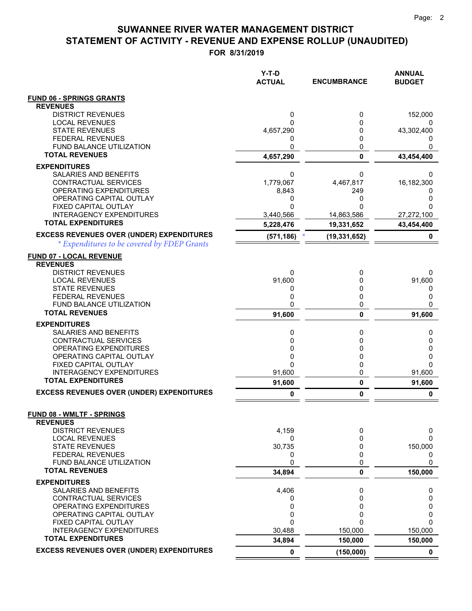|                                                            | Y-T-D<br><b>ACTUAL</b> | <b>ENCUMBRANCE</b> | <b>ANNUAL</b><br><b>BUDGET</b> |
|------------------------------------------------------------|------------------------|--------------------|--------------------------------|
| <b>FUND 06 - SPRINGS GRANTS</b>                            |                        |                    |                                |
| <b>REVENUES</b>                                            |                        |                    |                                |
| <b>DISTRICT REVENUES</b>                                   | 0                      | 0                  | 152,000                        |
| <b>LOCAL REVENUES</b>                                      | 0                      | 0                  | 0                              |
| <b>STATE REVENUES</b><br><b>FEDERAL REVENUES</b>           | 4,657,290<br>0         | 0<br>0             | 43,302,400<br>$\mathbf{0}$     |
| FUND BALANCE UTILIZATION                                   | 0                      | 0                  |                                |
| <b>TOTAL REVENUES</b>                                      | 4,657,290              | $\mathbf 0$        | 43,454,400                     |
| <b>EXPENDITURES</b>                                        |                        |                    |                                |
| SALARIES AND BENEFITS                                      | 0                      | 0                  | 0                              |
| CONTRACTUAL SERVICES                                       | 1,779,067              | 4,467,817          | 16,182,300                     |
| OPERATING EXPENDITURES                                     | 8,843                  | 249                | O                              |
| OPERATING CAPITAL OUTLAY<br>FIXED CAPITAL OUTLAY           | 0<br>0                 | 0<br>O             | 0<br>0                         |
| <b>INTERAGENCY EXPENDITURES</b>                            | 3,440,566              | 14,863,586         | 27,272,100                     |
| <b>TOTAL EXPENDITURES</b>                                  | 5,228,476              | 19,331,652         | 43,454,400                     |
| <b>EXCESS REVENUES OVER (UNDER) EXPENDITURES</b>           | (571, 186)             | (19, 331, 652)     | 0                              |
| * Expenditures to be covered by FDEP Grants                |                        |                    |                                |
| <b>FUND 07 - LOCAL REVENUE</b>                             |                        |                    |                                |
| <b>REVENUES</b>                                            |                        |                    |                                |
| <b>DISTRICT REVENUES</b>                                   | 0                      | 0                  | 0                              |
| <b>LOCAL REVENUES</b>                                      | 91,600                 | 0                  | 91,600                         |
| <b>STATE REVENUES</b>                                      | 0                      | 0                  | 0                              |
| <b>FEDERAL REVENUES</b><br><b>FUND BALANCE UTILIZATION</b> | 0<br>0                 | 0<br>0             | 0<br>0                         |
| <b>TOTAL REVENUES</b>                                      | 91,600                 | 0                  | 91,600                         |
| <b>EXPENDITURES</b>                                        |                        |                    |                                |
| SALARIES AND BENEFITS                                      | 0                      | 0                  | 0                              |
| CONTRACTUAL SERVICES                                       | 0                      | 0                  | 0                              |
| OPERATING EXPENDITURES                                     | 0                      | 0                  | 0                              |
| OPERATING CAPITAL OUTLAY                                   | 0                      | 0                  | 0                              |
| FIXED CAPITAL OUTLAY<br><b>INTERAGENCY EXPENDITURES</b>    | 0<br>91,600            | 0<br>0             | 0<br>91,600                    |
| <b>TOTAL EXPENDITURES</b>                                  | 91,600                 | 0                  | 91,600                         |
| <b>EXCESS REVENUES OVER (UNDER) EXPENDITURES</b>           |                        |                    |                                |
|                                                            | 0                      | 0                  | 0                              |
| <b>FUND 08 - WMLTF - SPRINGS</b>                           |                        |                    |                                |
| <b>REVENUES</b>                                            |                        |                    |                                |
| <b>DISTRICT REVENUES</b><br><b>LOCAL REVENUES</b>          | 4,159<br>0             | 0<br>0             | 0<br>0                         |
| <b>STATE REVENUES</b>                                      | 30,735                 | 0                  | 150,000                        |
| <b>FEDERAL REVENUES</b>                                    | 0                      | 0                  | 0                              |
| FUND BALANCE UTILIZATION                                   | 0                      | 0                  | 0                              |
| <b>TOTAL REVENUES</b>                                      | 34,894                 | 0                  | 150,000                        |
| <b>EXPENDITURES</b>                                        |                        |                    |                                |
| <b>SALARIES AND BENEFITS</b>                               | 4,406                  | 0                  | 0                              |
| CONTRACTUAL SERVICES<br>OPERATING EXPENDITURES             | 0<br>0                 | 0<br>0             | 0<br>0                         |
| OPERATING CAPITAL OUTLAY                                   | 0                      | 0                  | 0                              |
| FIXED CAPITAL OUTLAY                                       | 0                      | $\Omega$           | 0                              |
| <b>INTERAGENCY EXPENDITURES</b>                            | 30,488                 | 150,000            | 150,000                        |
| <b>TOTAL EXPENDITURES</b>                                  | 34,894                 | 150,000            | 150,000                        |
| <b>EXCESS REVENUES OVER (UNDER) EXPENDITURES</b>           | 0                      | (150,000)          | $\mathbf 0$                    |
|                                                            |                        |                    |                                |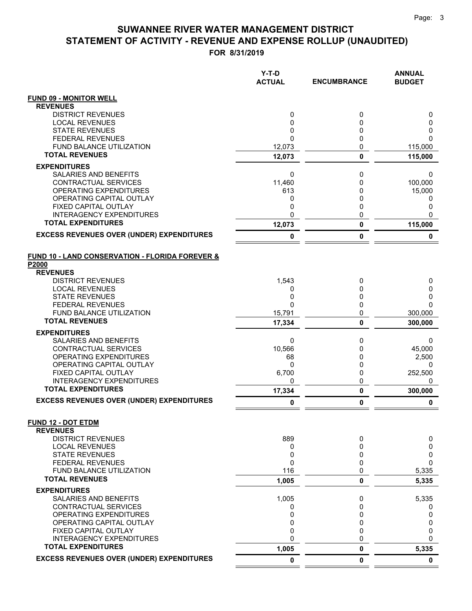|                                                                     | Y-T-D<br><b>ACTUAL</b> | <b>ENCUMBRANCE</b> | <b>ANNUAL</b><br><b>BUDGET</b> |
|---------------------------------------------------------------------|------------------------|--------------------|--------------------------------|
| <b>FUND 09 - MONITOR WELL</b>                                       |                        |                    |                                |
| <b>REVENUES</b>                                                     |                        |                    |                                |
| <b>DISTRICT REVENUES</b>                                            | 0                      | 0                  | 0                              |
| <b>LOCAL REVENUES</b><br><b>STATE REVENUES</b>                      | 0<br>0                 | 0<br>0             | 0<br>0                         |
| <b>FEDERAL REVENUES</b>                                             | $\mathbf{0}$           | 0                  | $\Omega$                       |
| FUND BALANCE UTILIZATION                                            | 12,073                 | 0                  | 115,000                        |
| <b>TOTAL REVENUES</b>                                               | 12,073                 | 0                  | 115,000                        |
| <b>EXPENDITURES</b>                                                 |                        |                    |                                |
| <b>SALARIES AND BENEFITS</b>                                        | 0                      | 0                  | 0                              |
| CONTRACTUAL SERVICES                                                | 11,460                 | 0                  | 100,000                        |
| <b>OPERATING EXPENDITURES</b>                                       | 613                    | 0                  | 15,000                         |
| OPERATING CAPITAL OUTLAY<br>FIXED CAPITAL OUTLAY                    | 0<br>0                 | 0<br>0             | 0<br>0                         |
| INTERAGENCY EXPENDITURES                                            | 0                      | 0                  | $\Omega$                       |
| <b>TOTAL EXPENDITURES</b>                                           | 12,073                 | 0                  | 115,000                        |
| <b>EXCESS REVENUES OVER (UNDER) EXPENDITURES</b>                    | 0                      | 0                  | 0                              |
| <b>FUND 10 - LAND CONSERVATION - FLORIDA FOREVER &amp;</b><br>P2000 |                        |                    |                                |
| <b>REVENUES</b>                                                     |                        |                    |                                |
| <b>DISTRICT REVENUES</b>                                            | 1,543                  | 0                  | 0                              |
| <b>LOCAL REVENUES</b>                                               | 0                      | 0                  | 0                              |
| <b>STATE REVENUES</b><br><b>FEDERAL REVENUES</b>                    | 0<br>$\mathbf{0}$      | 0<br>0             | 0<br>$\Omega$                  |
| FUND BALANCE UTILIZATION                                            | 15,791                 | 0                  | 300,000                        |
| <b>TOTAL REVENUES</b>                                               | 17,334                 | 0                  | 300,000                        |
| <b>EXPENDITURES</b>                                                 |                        |                    |                                |
| SALARIES AND BENEFITS                                               | 0                      | 0                  | 0                              |
| CONTRACTUAL SERVICES                                                | 10,566                 | 0                  | 45,000                         |
| OPERATING EXPENDITURES                                              | 68                     | 0                  | 2,500                          |
| OPERATING CAPITAL OUTLAY<br>FIXED CAPITAL OUTLAY                    | 0<br>6,700             | 0<br>0             | 0<br>252,500                   |
| <b>INTERAGENCY EXPENDITURES</b>                                     | 0                      | 0                  | 0                              |
| <b>TOTAL EXPENDITURES</b>                                           | 17,334                 | 0                  | 300,000                        |
| <b>EXCESS REVENUES OVER (UNDER) EXPENDITURES</b>                    | 0                      | 0                  | 0                              |
| <b>FUND 12 - DOT ETDM</b>                                           |                        |                    |                                |
| <b>REVENUES</b><br><b>DISTRICT REVENUES</b>                         | 889                    | 0                  | 0                              |
| <b>LOCAL REVENUES</b>                                               | 0                      | 0                  | 0                              |
| <b>STATE REVENUES</b>                                               | 0                      | 0                  | 0                              |
| <b>FEDERAL REVENUES</b>                                             | $\mathbf{0}$           | 0                  | 0                              |
| FUND BALANCE UTILIZATION                                            | 116                    | 0                  | 5,335                          |
| <b>TOTAL REVENUES</b>                                               | 1,005                  | 0                  | 5,335                          |
| <b>EXPENDITURES</b>                                                 |                        |                    |                                |
| SALARIES AND BENEFITS                                               | 1,005                  | 0                  | 5,335                          |
| CONTRACTUAL SERVICES<br>OPERATING EXPENDITURES                      | 0<br>0                 | 0<br>0             | 0<br>0                         |
| OPERATING CAPITAL OUTLAY                                            | 0                      | 0                  | 0                              |
| FIXED CAPITAL OUTLAY                                                | 0                      | 0                  | 0                              |
| <b>INTERAGENCY EXPENDITURES</b>                                     | $\mathbf 0$            | 0                  | $\Omega$                       |
| <b>TOTAL EXPENDITURES</b>                                           | 1,005                  | 0                  | 5,335                          |
| <b>EXCESS REVENUES OVER (UNDER) EXPENDITURES</b>                    | $\mathbf 0$            | 0                  | $\mathbf 0$                    |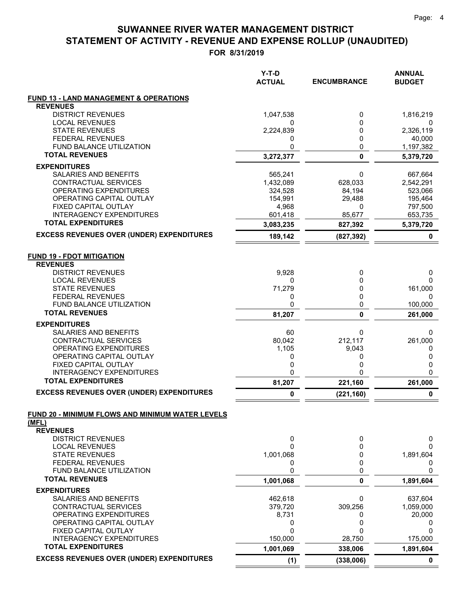|                                                                  | $Y-T-D$<br><b>ACTUAL</b> | <b>ENCUMBRANCE</b> | <b>ANNUAL</b><br><b>BUDGET</b> |
|------------------------------------------------------------------|--------------------------|--------------------|--------------------------------|
| FUND 13 - LAND MANAGEMENT & OPERATIONS                           |                          |                    |                                |
| <b>REVENUES</b>                                                  |                          |                    |                                |
| <b>DISTRICT REVENUES</b>                                         | 1,047,538                | 0                  | 1,816,219                      |
| <b>LOCAL REVENUES</b>                                            | 0                        | 0                  | 0                              |
| <b>STATE REVENUES</b>                                            | 2,224,839                | 0                  | 2,326,119                      |
| <b>FEDERAL REVENUES</b>                                          | 0                        | 0                  | 40,000                         |
| FUND BALANCE UTILIZATION<br><b>TOTAL REVENUES</b>                | 0                        | 0                  | 1,197,382                      |
|                                                                  | 3,272,377                | 0                  | 5,379,720                      |
| <b>EXPENDITURES</b>                                              |                          |                    |                                |
| SALARIES AND BENEFITS                                            | 565,241                  | 0                  | 667,664                        |
| CONTRACTUAL SERVICES                                             | 1,432,089                | 628,033            | 2,542,291                      |
| OPERATING EXPENDITURES                                           | 324,528                  | 84,194             | 523,066                        |
| OPERATING CAPITAL OUTLAY                                         | 154,991                  | 29,488             | 195,464                        |
| FIXED CAPITAL OUTLAY                                             | 4,968                    | 0                  | 797,500                        |
| <b>INTERAGENCY EXPENDITURES</b><br><b>TOTAL EXPENDITURES</b>     | 601,418                  | 85,677             | 653,735                        |
|                                                                  | 3,083,235                | 827,392            | 5,379,720                      |
| <b>EXCESS REVENUES OVER (UNDER) EXPENDITURES</b>                 | 189,142                  | (827, 392)         | 0                              |
| <b>FUND 19 - FDOT MITIGATION</b><br><b>REVENUES</b>              |                          |                    |                                |
| <b>DISTRICT REVENUES</b>                                         | 9,928                    | 0                  | 0                              |
| <b>LOCAL REVENUES</b>                                            | 0                        | 0                  | 0                              |
| <b>STATE REVENUES</b>                                            | 71,279                   | 0                  | 161,000                        |
| <b>FEDERAL REVENUES</b>                                          | 0                        | 0                  | 0                              |
| FUND BALANCE UTILIZATION                                         | 0                        | 0                  |                                |
| <b>TOTAL REVENUES</b>                                            |                          |                    | 100,000                        |
|                                                                  | 81,207                   | 0                  | 261,000                        |
| <b>EXPENDITURES</b>                                              |                          |                    |                                |
| SALARIES AND BENEFITS                                            | 60                       | 0                  | 0                              |
| CONTRACTUAL SERVICES                                             | 80,042                   | 212,117            | 261,000                        |
| OPERATING EXPENDITURES                                           | 1,105                    | 9,043              | 0                              |
| OPERATING CAPITAL OUTLAY                                         | 0                        | 0                  | 0                              |
| FIXED CAPITAL OUTLAY                                             | 0                        | 0                  | 0                              |
| INTERAGENCY EXPENDITURES<br><b>TOTAL EXPENDITURES</b>            | 0                        | 0                  | $\Omega$                       |
| <b>EXCESS REVENUES OVER (UNDER) EXPENDITURES</b>                 | 81,207                   | 221,160            | 261,000                        |
|                                                                  | 0                        | (221, 160)         | 0                              |
| <b>FUND 20 - MINIMUM FLOWS AND MINIMUM WATER LEVELS</b><br>(MFL) |                          |                    |                                |
| <b>REVENUES</b>                                                  |                          |                    |                                |
| <b>DISTRICT REVENUES</b>                                         | 0                        | 0                  | 0                              |
| <b>LOCAL REVENUES</b>                                            | 0                        | 0                  | 0                              |
| <b>STATE REVENUES</b>                                            | 1,001,068                | 0                  | 1,891,604                      |
| <b>FEDERAL REVENUES</b>                                          | 0                        | 0                  | 0                              |
| FUND BALANCE UTILIZATION                                         | 0                        | 0                  | 0                              |
| <b>TOTAL REVENUES</b>                                            | 1,001,068                | 0                  | 1,891,604                      |
| <b>EXPENDITURES</b>                                              |                          |                    |                                |
| <b>SALARIES AND BENEFITS</b>                                     | 462,618                  | 0                  | 637,604                        |
| CONTRACTUAL SERVICES                                             | 379,720                  | 309,256            | 1,059,000                      |
| <b>OPERATING EXPENDITURES</b>                                    | 8,731                    | 0                  | 20,000                         |
| OPERATING CAPITAL OUTLAY                                         | 0                        | 0                  | 0                              |
| FIXED CAPITAL OUTLAY                                             | 0                        | 0                  | O                              |
| <b>INTERAGENCY EXPENDITURES</b>                                  | 150,000                  | 28,750             | 175,000                        |
| <b>TOTAL EXPENDITURES</b>                                        | 1,001,069                | 338,006            | 1,891,604                      |
| <b>EXCESS REVENUES OVER (UNDER) EXPENDITURES</b>                 | (1)                      | (338,006)          | 0                              |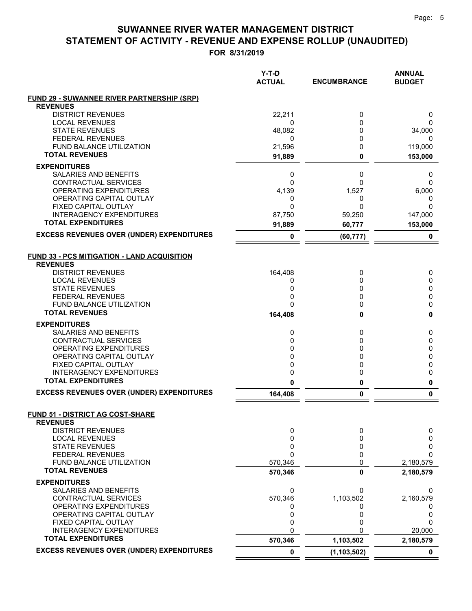|                                                              | $Y-T-D$<br><b>ACTUAL</b> | <b>ENCUMBRANCE</b> | <b>ANNUAL</b><br><b>BUDGET</b> |
|--------------------------------------------------------------|--------------------------|--------------------|--------------------------------|
| <b>FUND 29 - SUWANNEE RIVER PARTNERSHIP (SRP)</b>            |                          |                    |                                |
| <b>REVENUES</b><br><b>DISTRICT REVENUES</b>                  | 22,211                   | 0                  | 0                              |
| <b>LOCAL REVENUES</b>                                        | 0                        | 0                  | 0                              |
| <b>STATE REVENUES</b>                                        | 48,082                   | 0                  | 34,000                         |
| <b>FEDERAL REVENUES</b>                                      | 0                        | 0                  | 0                              |
| <b>FUND BALANCE UTILIZATION</b>                              | 21,596                   | 0                  | 119,000                        |
| <b>TOTAL REVENUES</b>                                        | 91,889                   | 0                  | 153,000                        |
| <b>EXPENDITURES</b>                                          |                          |                    |                                |
| <b>SALARIES AND BENEFITS</b>                                 | 0                        | 0                  | 0                              |
| <b>CONTRACTUAL SERVICES</b>                                  | $\Omega$                 | 0                  | $\Omega$                       |
| OPERATING EXPENDITURES<br>OPERATING CAPITAL OUTLAY           | 4,139<br>0               | 1,527<br>0         | 6,000                          |
| FIXED CAPITAL OUTLAY                                         | $\mathbf{0}$             | 0                  | 0<br>$\Omega$                  |
| <b>INTERAGENCY EXPENDITURES</b>                              | 87,750                   | 59,250             | 147,000                        |
| <b>TOTAL EXPENDITURES</b>                                    | 91,889                   | 60,777             | 153,000                        |
| <b>EXCESS REVENUES OVER (UNDER) EXPENDITURES</b>             | 0                        | (60, 777)          | 0                              |
|                                                              |                          |                    |                                |
| <b>FUND 33 - PCS MITIGATION - LAND ACQUISITION</b>           |                          |                    |                                |
| <b>REVENUES</b>                                              |                          |                    |                                |
| <b>DISTRICT REVENUES</b>                                     | 164,408                  | 0                  | 0                              |
| <b>LOCAL REVENUES</b>                                        | 0                        | 0                  | 0                              |
| <b>STATE REVENUES</b>                                        | 0                        | 0                  | 0                              |
| <b>FEDERAL REVENUES</b><br><b>FUND BALANCE UTILIZATION</b>   | 0<br>0                   | 0                  | 0<br>0                         |
| <b>TOTAL REVENUES</b>                                        | 164,408                  | 0<br>0             | $\mathbf{0}$                   |
| <b>EXPENDITURES</b>                                          |                          |                    |                                |
| SALARIES AND BENEFITS                                        | 0                        | 0                  | 0                              |
| CONTRACTUAL SERVICES                                         | 0                        | 0                  | 0                              |
| OPERATING EXPENDITURES                                       | 0                        | 0                  | 0                              |
| OPERATING CAPITAL OUTLAY                                     | 0                        | 0                  | 0                              |
| FIXED CAPITAL OUTLAY                                         | 0                        | 0                  | 0                              |
| <b>INTERAGENCY EXPENDITURES</b><br><b>TOTAL EXPENDITURES</b> | 0                        | 0                  | 0                              |
|                                                              | 0                        | 0                  | $\pmb{0}$                      |
| <b>EXCESS REVENUES OVER (UNDER) EXPENDITURES</b>             | 164,408                  | 0                  | 0                              |
| <b>FUND 51 - DISTRICT AG COST-SHARE</b><br><b>REVENUES</b>   |                          |                    |                                |
| <b>DISTRICT REVENUES</b>                                     | 0                        | 0                  | 0                              |
| <b>LOCAL REVENUES</b>                                        | 0                        | 0                  | 0                              |
| <b>STATE REVENUES</b>                                        | 0                        | 0                  | 0                              |
| <b>FEDERAL REVENUES</b><br>FUND BALANCE UTILIZATION          | $\mathbf{0}$<br>570,346  | 0<br>0             | $\Omega$                       |
| <b>TOTAL REVENUES</b>                                        | 570,346                  | 0                  | 2,180,579<br>2,180,579         |
| <b>EXPENDITURES</b>                                          |                          |                    |                                |
| SALARIES AND BENEFITS                                        | 0                        | 0                  | 0                              |
| <b>CONTRACTUAL SERVICES</b>                                  | 570,346                  | 1,103,502          | 2,160,579                      |
| OPERATING EXPENDITURES                                       | 0                        | 0                  | 0                              |
| OPERATING CAPITAL OUTLAY                                     | 0                        | 0                  | 0                              |
| FIXED CAPITAL OUTLAY                                         | 0                        | 0                  | $\Omega$                       |
| <b>INTERAGENCY EXPENDITURES</b>                              | 0                        |                    | 20,000                         |
| <b>TOTAL EXPENDITURES</b>                                    | 570,346                  | 1,103,502          | 2,180,579                      |
| <b>EXCESS REVENUES OVER (UNDER) EXPENDITURES</b>             | 0                        | (1, 103, 502)      | 0                              |